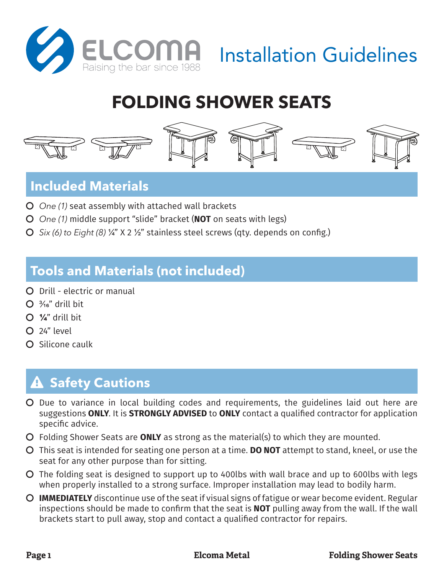

# **FOLDING SHOWER SEATS**



## **Included Materials**

- Č *One (1)* seat assembly with attached wall brackets
- Č *One (1)* middle support "slide" bracket (**NOT** on seats with legs)
- Č *Six (6) to Eight (8)* 1/4" X 2 1/2" stainless steel screws (qty. depends on config.)

## **Tools and Materials (not included)**

- Č Drill electric or manual
- $O \frac{3}{16}$ " drill bit
- Č 1/4" drill bit
- Č 24" level
- Č Silicone caulk

# **A** Safety Cautions

- Č Due to variance in local building codes and requirements, the guidelines laid out here are suggestions **ONLY**. It is **STRONGLY ADVISED** to **ONLY** contact a qualified contractor for application specific advice.
- Č Folding Shower Seats are **ONLY** as strong as the material(s) to which they are mounted.
- Č This seat is intended for seating one person at a time. **DO NOT** attempt to stand, kneel, or use the seat for any other purpose than for sitting.
- Č The folding seat is designed to support up to 400lbs with wall brace and up to 600lbs with legs when properly installed to a strong surface. Improper installation may lead to bodily harm.
- Č **IMMEDIATELY** discontinue use of the seat if visual signs of fatigue or wear become evident. Regular inspections should be made to confirm that the seat is **NOT** pulling away from the wall. If the wall brackets start to pull away, stop and contact a qualified contractor for repairs.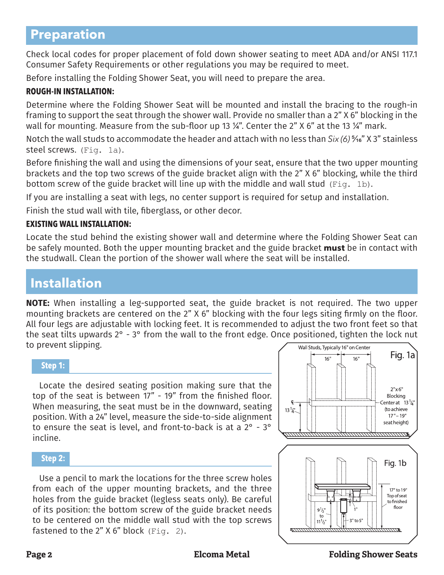### **Preparation**

Check local codes for proper placement of fold down shower seating to meet ADA and/or ANSI 117.1 Consumer Safety Requirements or other regulations you may be required to meet.

Before installing the Folding Shower Seat, you will need to prepare the area.

#### **ROUGH-IN INSTALLATION:**

Determine where the Folding Shower Seat will be mounted and install the bracing to the rough-in framing to support the seat through the shower wall. Provide no smaller than a 2" X 6" blocking in the wall for mounting. Measure from the sub-floor up 13  $\frac{1}{4}$ . Center the 2" X 6" at the 13  $\frac{1}{4}$ " mark.

Notch the wall studs to accommodate the header and attach with no less than *Six (6)* %<sup>2</sup>" X 3" stainless steel screws. (Fig. 1a).

Before finishing the wall and using the dimensions of your seat, ensure that the two upper mounting brackets and the top two screws of the guide bracket align with the 2" X 6" blocking, while the third bottom screw of the guide bracket will line up with the middle and wall stud (Fig. 1b).

If you are installing a seat with legs, no center support is required for setup and installation.

Finish the stud wall with tile, fiberglass, or other decor.

#### **EXISTING WALL INSTALLATION:**

Locate the stud behind the existing shower wall and determine where the Folding Shower Seat can be safely mounted. Both the upper mounting bracket and the guide bracket **must** be in contact with the studwall. Clean the portion of the shower wall where the seat will be installed.

### **Installation**

**NOTE:** When installing a leg-supported seat, the guide bracket is not required. The two upper mounting brackets are centered on the 2" X 6" blocking with the four legs siting firmly on the floor. All four legs are adjustable with locking feet. It is recommended to adjust the two front feet so that the seat tilts upwards 2° - 3° from the wall to the front edge. Once positioned, tighten the lock nut to prevent slipping. Wall Studs, Typically 16" on Center

#### **Step 1:**

Locate the desired seating position making sure that the top of the seat is between 17" - 19" from the finished floor. When measuring, the seat must be in the downward, seating position. With a 24" level, measure the side-to-side alignment to ensure the seat is level, and front-to-back is at a 2° - 3° incline.

#### **Step 2:**

Use a pencil to mark the locations for the three screw holes from each of the upper mounting brackets, and the three holes from the guide bracket (legless seats only). Be careful of its position: the bottom screw of the guide bracket needs to be centered on the middle wall stud with the top screws fastened to the  $2" X 6" block (Fig. 2).$